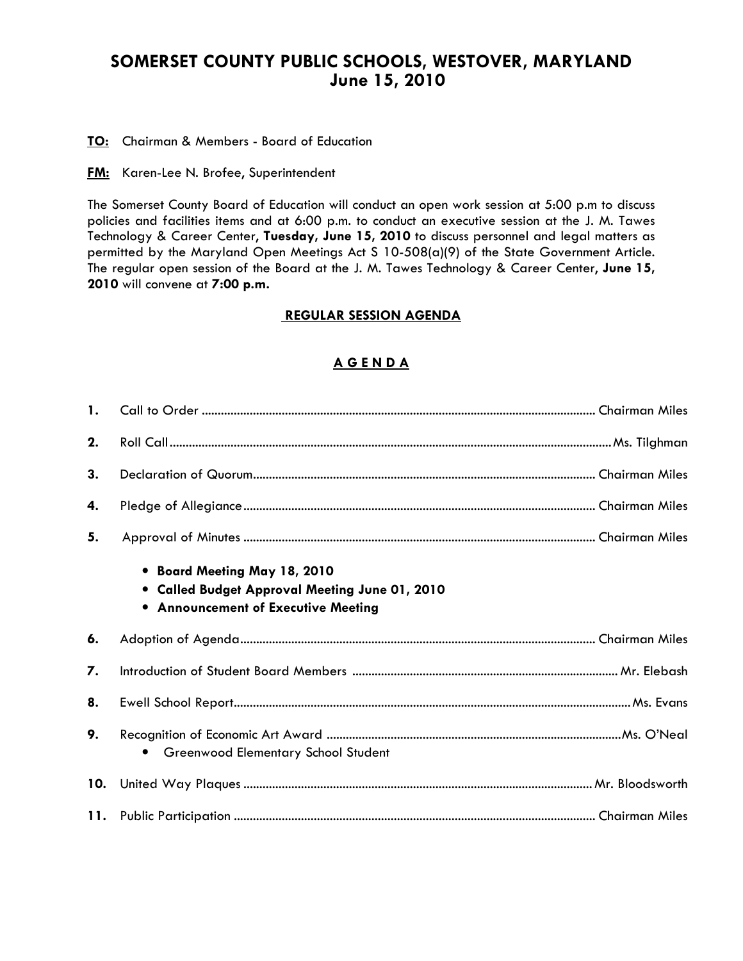# SOMERSET COUNTY PUBLIC SCHOOLS, WESTOVER, MARYLAND June 15, 2010

TO: Chairman & Members - Board of Education

**FM:** Karen-Lee N. Brofee, Superintendent

The Somerset County Board of Education will conduct an open work session at 5:00 p.m to discuss policies and facilities items and at 6:00 p.m. to conduct an executive session at the J. M. Tawes Technology & Career Center, Tuesday, June 15, 2010 to discuss personnel and legal matters as permitted by the Maryland Open Meetings Act S 10-508(a)(9) of the State Government Article. The regular open session of the Board at the J. M. Tawes Technology & Career Center, June 15, 2010 will convene at 7:00 p.m.

#### REGULAR SESSION AGENDA

## A G E N D A

| 1.  |                                                                                                                              |  |
|-----|------------------------------------------------------------------------------------------------------------------------------|--|
| 2.  |                                                                                                                              |  |
| 3.  |                                                                                                                              |  |
| 4.  |                                                                                                                              |  |
| 5.  |                                                                                                                              |  |
|     | • Board Meeting May 18, 2010<br>• Called Budget Approval Meeting June 01, 2010<br><b>.</b> Announcement of Executive Meeting |  |
| 6.  |                                                                                                                              |  |
| 7.  |                                                                                                                              |  |
| 8.  |                                                                                                                              |  |
| 9.  | • Greenwood Elementary School Student                                                                                        |  |
| 10. |                                                                                                                              |  |
|     |                                                                                                                              |  |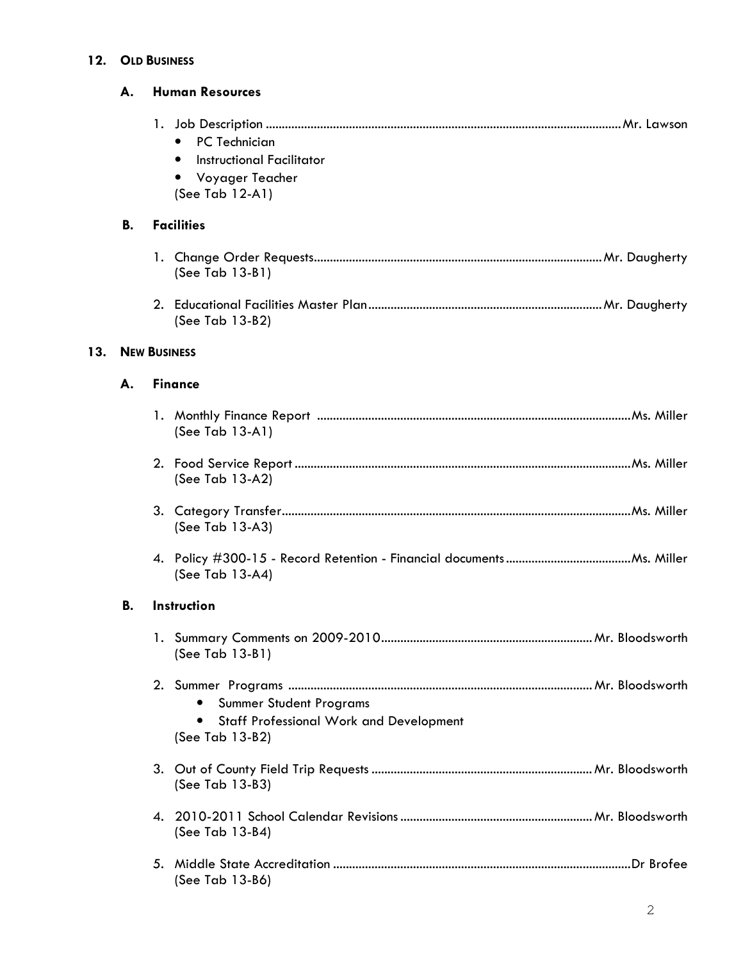#### 12. OLD BUSINESS

|     | А.        | <b>Human Resources</b>                                                                                             |
|-----|-----------|--------------------------------------------------------------------------------------------------------------------|
|     |           | PC Technician<br>$\bullet$<br>Instructional Facilitator<br>٠<br>Voyager Teacher<br>$\bullet$<br>(See Tab $12-A1$ ) |
|     | <b>B.</b> | <b>Facilities</b>                                                                                                  |
|     |           | (See Tab 13-B1)                                                                                                    |
|     |           | (See Tab 13-B2)                                                                                                    |
| 13. |           | <b>NEW BUSINESS</b>                                                                                                |
|     | А.        | <b>Finance</b>                                                                                                     |
|     |           | (See Tab 13-A1)                                                                                                    |
|     |           | (See Tab 13-A2)                                                                                                    |
|     |           | (See Tab 13-A3)                                                                                                    |
|     |           | (See Tab 13-A4)                                                                                                    |
|     | В.        | <b>Instruction</b>                                                                                                 |
|     |           | (See Tab 13-B1)                                                                                                    |
|     |           | Summer Student Programs<br><b>Staff Professional Work and Development</b><br>٠<br>(See Tab 13-B2)                  |
|     |           | (See Tab 13-B3)                                                                                                    |
|     |           | (See Tab 13-B4)                                                                                                    |
|     |           | (See Tab 13-B6)                                                                                                    |